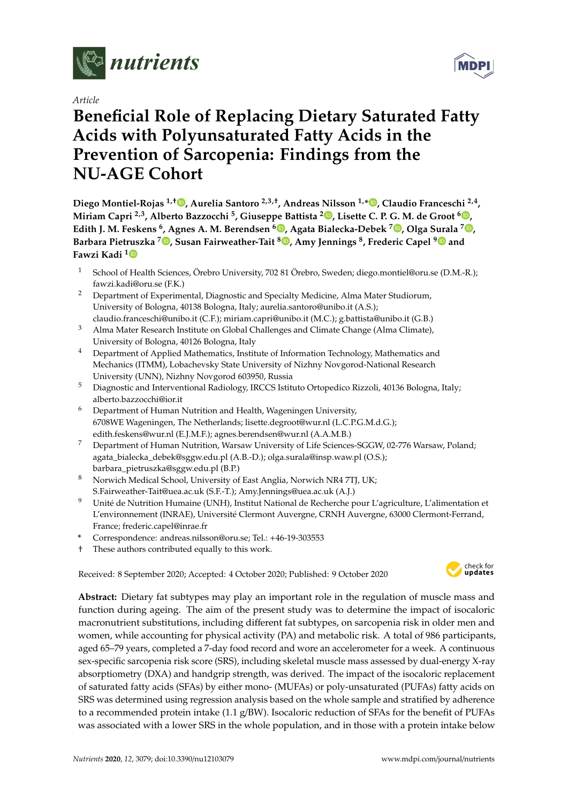

*Article*

# **Beneficial Role of Replacing Dietary Saturated Fatty Acids with Polyunsaturated Fatty Acids in the Prevention of Sarcopenia: Findings from the NU-AGE Cohort**

**Diego Montiel-Rojas 1,**† **[,](https://orcid.org/0000-0003-3268-1544) Aurelia Santoro 2,3,**† **, Andreas Nilsson 1,\* [,](https://orcid.org/0000-0003-3793-335X) Claudio Franceschi 2,4 , Miriam Capri 2,3, Alberto Bazzocchi <sup>5</sup> , Giuseppe Battista <sup>2</sup> [,](https://orcid.org/0000-0003-3639-3494) Lisette C. P. G. M. de Groot <sup>6</sup> [,](https://orcid.org/0000-0003-2778-2789) Edith J. M. Feskens <sup>6</sup> , Agnes A. M. Berendsen <sup>6</sup> [,](https://orcid.org/0000-0003-3459-0603) Agata Bialecka-Debek <sup>7</sup> [,](https://orcid.org/0000-0002-7823-7134) Olga Surala <sup>7</sup> [,](https://orcid.org/0000-0003-0419-9435) Barbara Pietruszka [7](https://orcid.org/0000-0003-0731-8612) , Susan Fairweather-Tait <sup>8</sup> [,](https://orcid.org/0000-0002-1413-5569) Amy Jennings <sup>8</sup> , Frederic Capel [9](https://orcid.org/0000-0002-0133-0277) and Fawzi Kadi [1](https://orcid.org/0000-0002-9831-0896)**

- <sup>1</sup> School of Health Sciences, Örebro University, 702 81 Örebro, Sweden; diego.montiel@oru.se (D.M.-R.); fawzi.kadi@oru.se (F.K.)
- <sup>2</sup> Department of Experimental, Diagnostic and Specialty Medicine, Alma Mater Studiorum, University of Bologna, 40138 Bologna, Italy; aurelia.santoro@unibo.it (A.S.); claudio.franceschi@unibo.it (C.F.); miriam.capri@unibo.it (M.C.); g.battista@unibo.it (G.B.)
- <sup>3</sup> Alma Mater Research Institute on Global Challenges and Climate Change (Alma Climate), University of Bologna, 40126 Bologna, Italy
- <sup>4</sup> Department of Applied Mathematics, Institute of Information Technology, Mathematics and Mechanics (ITMM), Lobachevsky State University of Nizhny Novgorod-National Research University (UNN), Nizhny Novgorod 603950, Russia
- <sup>5</sup> Diagnostic and Interventional Radiology, IRCCS Istituto Ortopedico Rizzoli, 40136 Bologna, Italy; alberto.bazzocchi@ior.it
- <sup>6</sup> Department of Human Nutrition and Health, Wageningen University, 6708WE Wageningen, The Netherlands; lisette.degroot@wur.nl (L.C.P.G.M.d.G.); edith.feskens@wur.nl (E.J.M.F.); agnes.berendsen@wur.nl (A.A.M.B.)
- <sup>7</sup> Department of Human Nutrition, Warsaw University of Life Sciences-SGGW, 02-776 Warsaw, Poland; agata\_bialecka\_debek@sggw.edu.pl (A.B.-D.); olga.surala@insp.waw.pl (O.S.); barbara\_pietruszka@sggw.edu.pl (B.P.)
- <sup>8</sup> Norwich Medical School, University of East Anglia, Norwich NR4 7TJ, UK; S.Fairweather-Tait@uea.ac.uk (S.F.-T.); Amy.Jennings@uea.ac.uk (A.J.)
- <sup>9</sup> Unité de Nutrition Humaine (UNH), Institut National de Recherche pour L'agriculture, L'alimentation et L'environnement (INRAE), Université Clermont Auvergne, CRNH Auvergne, 63000 Clermont-Ferrand, France; frederic.capel@inrae.fr
- **\*** Correspondence: andreas.nilsson@oru.se; Tel.: +46-19-303553
- † These authors contributed equally to this work.

Received: 8 September 2020; Accepted: 4 October 2020; Published: 9 October 2020



**Abstract:** Dietary fat subtypes may play an important role in the regulation of muscle mass and function during ageing. The aim of the present study was to determine the impact of isocaloric macronutrient substitutions, including different fat subtypes, on sarcopenia risk in older men and women, while accounting for physical activity (PA) and metabolic risk. A total of 986 participants, aged 65–79 years, completed a 7-day food record and wore an accelerometer for a week. A continuous sex-specific sarcopenia risk score (SRS), including skeletal muscle mass assessed by dual-energy X-ray absorptiometry (DXA) and handgrip strength, was derived. The impact of the isocaloric replacement of saturated fatty acids (SFAs) by either mono- (MUFAs) or poly-unsaturated (PUFAs) fatty acids on SRS was determined using regression analysis based on the whole sample and stratified by adherence to a recommended protein intake (1.1 g/BW). Isocaloric reduction of SFAs for the benefit of PUFAs was associated with a lower SRS in the whole population, and in those with a protein intake below

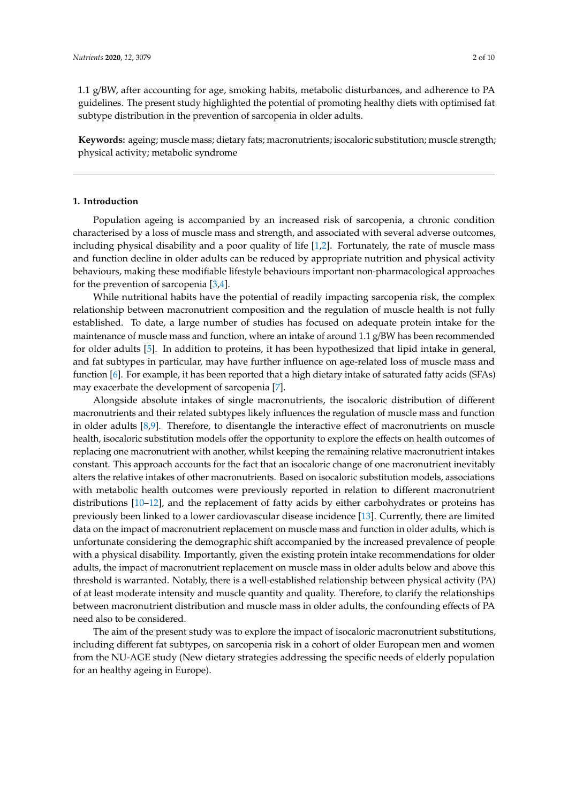1.1 g/BW, after accounting for age, smoking habits, metabolic disturbances, and adherence to PA guidelines. The present study highlighted the potential of promoting healthy diets with optimised fat subtype distribution in the prevention of sarcopenia in older adults.

**Keywords:** ageing; muscle mass; dietary fats; macronutrients; isocaloric substitution; muscle strength; physical activity; metabolic syndrome

# **1. Introduction**

Population ageing is accompanied by an increased risk of sarcopenia, a chronic condition characterised by a loss of muscle mass and strength, and associated with several adverse outcomes, including physical disability and a poor quality of life [\[1](#page-7-0)[,2\]](#page-7-1). Fortunately, the rate of muscle mass and function decline in older adults can be reduced by appropriate nutrition and physical activity behaviours, making these modifiable lifestyle behaviours important non-pharmacological approaches for the prevention of sarcopenia  $[3,4]$  $[3,4]$ .

While nutritional habits have the potential of readily impacting sarcopenia risk, the complex relationship between macronutrient composition and the regulation of muscle health is not fully established. To date, a large number of studies has focused on adequate protein intake for the maintenance of muscle mass and function, where an intake of around 1.1 g/BW has been recommended for older adults [\[5\]](#page-7-4). In addition to proteins, it has been hypothesized that lipid intake in general, and fat subtypes in particular, may have further influence on age-related loss of muscle mass and function [\[6\]](#page-7-5). For example, it has been reported that a high dietary intake of saturated fatty acids (SFAs) may exacerbate the development of sarcopenia [\[7\]](#page-7-6).

Alongside absolute intakes of single macronutrients, the isocaloric distribution of different macronutrients and their related subtypes likely influences the regulation of muscle mass and function in older adults [\[8,](#page-7-7)[9\]](#page-7-8). Therefore, to disentangle the interactive effect of macronutrients on muscle health, isocaloric substitution models offer the opportunity to explore the effects on health outcomes of replacing one macronutrient with another, whilst keeping the remaining relative macronutrient intakes constant. This approach accounts for the fact that an isocaloric change of one macronutrient inevitably alters the relative intakes of other macronutrients. Based on isocaloric substitution models, associations with metabolic health outcomes were previously reported in relation to different macronutrient distributions [\[10](#page-8-0)[–12\]](#page-8-1), and the replacement of fatty acids by either carbohydrates or proteins has previously been linked to a lower cardiovascular disease incidence [\[13\]](#page-8-2). Currently, there are limited data on the impact of macronutrient replacement on muscle mass and function in older adults, which is unfortunate considering the demographic shift accompanied by the increased prevalence of people with a physical disability. Importantly, given the existing protein intake recommendations for older adults, the impact of macronutrient replacement on muscle mass in older adults below and above this threshold is warranted. Notably, there is a well-established relationship between physical activity (PA) of at least moderate intensity and muscle quantity and quality. Therefore, to clarify the relationships between macronutrient distribution and muscle mass in older adults, the confounding effects of PA need also to be considered.

The aim of the present study was to explore the impact of isocaloric macronutrient substitutions, including different fat subtypes, on sarcopenia risk in a cohort of older European men and women from the NU-AGE study (New dietary strategies addressing the specific needs of elderly population for an healthy ageing in Europe).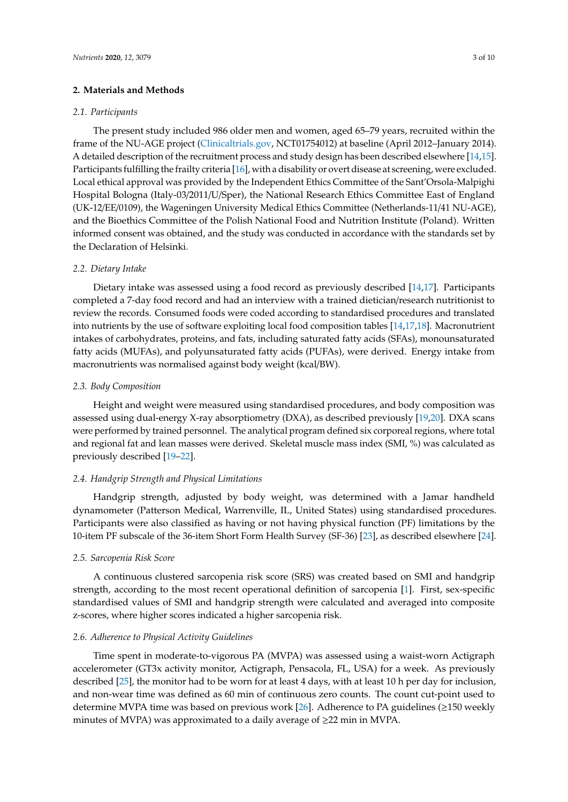## **2. Materials and Methods**

#### *2.1. Participants*

The present study included 986 older men and women, aged 65–79 years, recruited within the frame of the NU-AGE project [\(Clinicaltrials.gov,](Clinicaltrials.gov) NCT01754012) at baseline (April 2012–January 2014). A detailed description of the recruitment process and study design has been described elsewhere [\[14](#page-8-3)[,15\]](#page-8-4). Participants fulfilling the frailty criteria [\[16\]](#page-8-5), with a disability or overt disease at screening, were excluded. Local ethical approval was provided by the Independent Ethics Committee of the Sant'Orsola-Malpighi Hospital Bologna (Italy-03/2011/U/Sper), the National Research Ethics Committee East of England (UK-12/EE/0109), the Wageningen University Medical Ethics Committee (Netherlands-11/41 NU-AGE), and the Bioethics Committee of the Polish National Food and Nutrition Institute (Poland). Written informed consent was obtained, and the study was conducted in accordance with the standards set by the Declaration of Helsinki.

## *2.2. Dietary Intake*

Dietary intake was assessed using a food record as previously described [\[14](#page-8-3)[,17\]](#page-8-6). Participants completed a 7-day food record and had an interview with a trained dietician/research nutritionist to review the records. Consumed foods were coded according to standardised procedures and translated into nutrients by the use of software exploiting local food composition tables [\[14](#page-8-3)[,17](#page-8-6)[,18\]](#page-8-7). Macronutrient intakes of carbohydrates, proteins, and fats, including saturated fatty acids (SFAs), monounsaturated fatty acids (MUFAs), and polyunsaturated fatty acids (PUFAs), were derived. Energy intake from macronutrients was normalised against body weight (kcal/BW).

#### *2.3. Body Composition*

Height and weight were measured using standardised procedures, and body composition was assessed using dual-energy X-ray absorptiometry (DXA), as described previously [\[19](#page-8-8)[,20\]](#page-8-9). DXA scans were performed by trained personnel. The analytical program defined six corporeal regions, where total and regional fat and lean masses were derived. Skeletal muscle mass index (SMI, %) was calculated as previously described [\[19](#page-8-8)[–22\]](#page-8-10).

# *2.4. Handgrip Strength and Physical Limitations*

Handgrip strength, adjusted by body weight, was determined with a Jamar handheld dynamometer (Patterson Medical, Warrenville, IL, United States) using standardised procedures. Participants were also classified as having or not having physical function (PF) limitations by the 10-item PF subscale of the 36-item Short Form Health Survey (SF-36) [\[23\]](#page-8-11), as described elsewhere [\[24\]](#page-8-12).

#### *2.5. Sarcopenia Risk Score*

A continuous clustered sarcopenia risk score (SRS) was created based on SMI and handgrip strength, according to the most recent operational definition of sarcopenia [\[1\]](#page-7-0). First, sex-specific standardised values of SMI and handgrip strength were calculated and averaged into composite z-scores, where higher scores indicated a higher sarcopenia risk.

# *2.6. Adherence to Physical Activity Guidelines*

Time spent in moderate-to-vigorous PA (MVPA) was assessed using a waist-worn Actigraph accelerometer (GT3x activity monitor, Actigraph, Pensacola, FL, USA) for a week. As previously described [\[25\]](#page-8-13), the monitor had to be worn for at least 4 days, with at least 10 h per day for inclusion, and non-wear time was defined as 60 min of continuous zero counts. The count cut-point used to determine MVPA time was based on previous work [\[26\]](#page-8-14). Adherence to PA guidelines ( $\geq$ 150 weekly minutes of MVPA) was approximated to a daily average of ≥22 min in MVPA.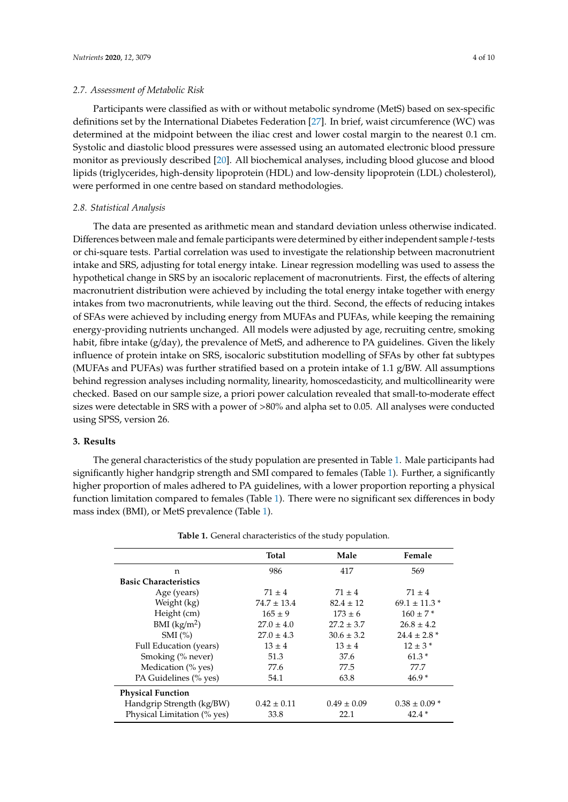Participants were classified as with or without metabolic syndrome (MetS) based on sex-specific definitions set by the International Diabetes Federation [\[27\]](#page-9-0). In brief, waist circumference (WC) was determined at the midpoint between the iliac crest and lower costal margin to the nearest 0.1 cm. Systolic and diastolic blood pressures were assessed using an automated electronic blood pressure monitor as previously described [\[20\]](#page-8-9). All biochemical analyses, including blood glucose and blood lipids (triglycerides, high-density lipoprotein (HDL) and low-density lipoprotein (LDL) cholesterol), were performed in one centre based on standard methodologies.

# *2.8. Statistical Analysis*

The data are presented as arithmetic mean and standard deviation unless otherwise indicated. Differences between male and female participants were determined by either independent sample *t*-tests or chi-square tests. Partial correlation was used to investigate the relationship between macronutrient intake and SRS, adjusting for total energy intake. Linear regression modelling was used to assess the hypothetical change in SRS by an isocaloric replacement of macronutrients. First, the effects of altering macronutrient distribution were achieved by including the total energy intake together with energy intakes from two macronutrients, while leaving out the third. Second, the effects of reducing intakes of SFAs were achieved by including energy from MUFAs and PUFAs, while keeping the remaining energy-providing nutrients unchanged. All models were adjusted by age, recruiting centre, smoking habit, fibre intake  $(g/day)$ , the prevalence of MetS, and adherence to PA guidelines. Given the likely influence of protein intake on SRS, isocaloric substitution modelling of SFAs by other fat subtypes (MUFAs and PUFAs) was further stratified based on a protein intake of  $1.1$  g/BW. All assumptions behind regression analyses including normality, linearity, homoscedasticity, and multicollinearity were checked. Based on our sample size, a priori power calculation revealed that small-to-moderate effect sizes were detectable in SRS with a power of >80% and alpha set to 0.05. All analyses were conducted using SPSS, version 26.

# **3. Results**

The general characteristics of the study population are presented in Table [1.](#page-4-0) Male participants had significantly higher handgrip strength and SMI compared to females (Table [1\)](#page-4-0). Further, a significantly higher proportion of males adhered to PA guidelines, with a lower proportion reporting a physical function limitation compared to females (Table [1\)](#page-4-0). There were no significant sex differences in body mass index (BMI), or MetS prevalence (Table [1\)](#page-4-0).

| <b>Total</b>    | Male            | Female            |
|-----------------|-----------------|-------------------|
| 986             | 417             | 569               |
|                 |                 |                   |
| $71 \pm 4$      | $71 \pm 4$      | $71 \pm 4$        |
| $74.7 \pm 13.4$ | $82.4 \pm 12$   | $69.1 \pm 11.3$ * |
| $165 \pm 9$     | $173 \pm 6$     | $160 \pm 7*$      |
| $27.0 \pm 4.0$  | $27.2 \pm 3.7$  | $26.8 \pm 4.2$    |
| $27.0 \pm 4.3$  | $30.6 \pm 3.2$  | $24.4 \pm 2.8$ *  |
| $13 \pm 4$      | $13 \pm 4$      | $12 \pm 3*$       |
| 51.3            | 37.6            | $61.3*$           |
| 77.6            | 77.5            | 77.7              |
| 54.1            | 63.8            | $46.9*$           |
|                 |                 |                   |
| $0.42 \pm 0.11$ | $0.49 \pm 0.09$ | $0.38 \pm 0.09*$  |
| 33.8            | 22.1            | $42.4*$           |
|                 |                 |                   |

**Table 1.** General characteristics of the study population.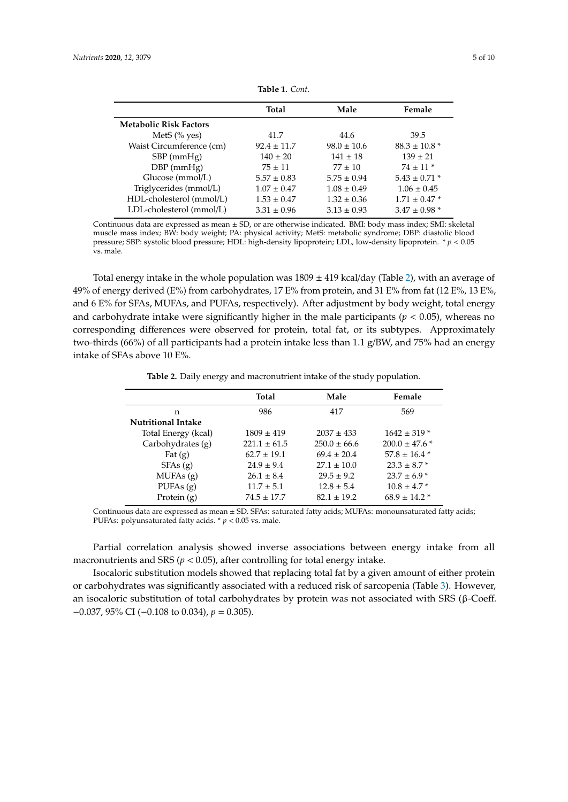<span id="page-4-0"></span>

|                               | <b>Total</b>    | Male            | Female                       |
|-------------------------------|-----------------|-----------------|------------------------------|
| <b>Metabolic Risk Factors</b> |                 |                 |                              |
| MetS $(\%$ yes)               | 41.7            | 44.6            | 39.5                         |
| Waist Circumference (cm)      | $92.4 \pm 11.7$ | $98.0 \pm 10.6$ | $88.3 \pm 10.8$ <sup>*</sup> |
| $SBP$ (mmHg)                  | $140 \pm 20$    | $141 \pm 18$    | $139 \pm 21$                 |
| $DBP$ (mmHg)                  | $75 \pm 11$     | $77 \pm 10$     | $74 \pm 11$ *                |
| Glucose (mmol/L)              | $5.57 \pm 0.83$ | $5.75 \pm 0.94$ | $5.43 \pm 0.71$ *            |
| Triglycerides (mmol/L)        | $1.07 \pm 0.47$ | $1.08 \pm 0.49$ | $1.06 \pm 0.45$              |
| HDL-cholesterol (mmol/L)      | $1.53 \pm 0.47$ | $1.32 \pm 0.36$ | $1.71 \pm 0.47$ *            |
| LDL-cholesterol (mmol/L)      | $3.31 \pm 0.96$ | $3.13 \pm 0.93$ | $3.47 \pm 0.98$ *            |

**Table 1.** *Cont.*

Continuous data are expressed as mean ± SD, or are otherwise indicated. BMI: body mass index; SMI: skeletal muscle mass index; BW: body weight; PA: physical activity; MetS: metabolic syndrome; DBP: diastolic blood pressure; SBP: systolic blood pressure; HDL: high-density lipoprotein; LDL, low-density lipoprotein. \* *p* < 0.05 vs. male.

Total energy intake in the whole population was  $1809 \pm 419$  kcal/day (Table [2\)](#page-4-1), with an average of 49% of energy derived (E%) from carbohydrates, 17 E% from protein, and 31 E% from fat (12 E%, 13 E%, and 6 E% for SFAs, MUFAs, and PUFAs, respectively). After adjustment by body weight, total energy and carbohydrate intake were significantly higher in the male participants ( $p < 0.05$ ), whereas no corresponding differences were observed for protein, total fat, or its subtypes. Approximately two-thirds (66%) of all participants had a protein intake less than 1.1 g/BW, and 75% had an energy intake of SFAs above 10 E%.

|  | Table 2. Daily energy and macronutrient intake of the study population. |  |
|--|-------------------------------------------------------------------------|--|
|--|-------------------------------------------------------------------------|--|

<span id="page-4-1"></span>

|                           | <b>Total</b>     | Male             | Female                        |
|---------------------------|------------------|------------------|-------------------------------|
| n                         | 986              | 417              | 569                           |
| <b>Nutritional Intake</b> |                  |                  |                               |
| Total Energy (kcal)       | $1809 \pm 419$   | $2037 \pm 433$   | $1642 \pm 319$ *              |
| Carbohydrates (g)         | $221.1 \pm 61.5$ | $250.0 \pm 66.6$ | $200.0 \pm 47.6$ <sup>*</sup> |
| Fat $(g)$                 | $62.7 \pm 19.1$  | $69.4 \pm 20.4$  | $57.8 \pm 16.4$ *             |
| SFAs(g)                   | $24.9 \pm 9.4$   | $27.1 \pm 10.0$  | $23.3 \pm 8.7$ *              |
| MUFAs(g)                  | $26.1 \pm 8.4$   | $29.5 \pm 9.2$   | $23.7 \pm 6.9$ *              |
| PUFAs $(g)$               | $11.7 \pm 5.1$   | $12.8 \pm 5.4$   | $10.8 \pm 4.7$ *              |
| Protein $(g)$             | $74.5 \pm 17.7$  | $82.1 \pm 19.2$  | $68.9 \pm 14.2$ *             |
|                           |                  |                  |                               |

Continuous data are expressed as mean ± SD. SFAs: saturated fatty acids; MUFAs: monounsaturated fatty acids; PUFAs: polyunsaturated fatty acids. \* *p* < 0.05 vs. male.

Partial correlation analysis showed inverse associations between energy intake from all macronutrients and SRS ( $p < 0.05$ ), after controlling for total energy intake.

Isocaloric substitution models showed that replacing total fat by a given amount of either protein or carbohydrates was significantly associated with a reduced risk of sarcopenia (Table [3\)](#page-5-0). However, an isocaloric substitution of total carbohydrates by protein was not associated with SRS (β-Coeff. −0.037, 95% CI (−0.108 to 0.034), *p* = 0.305).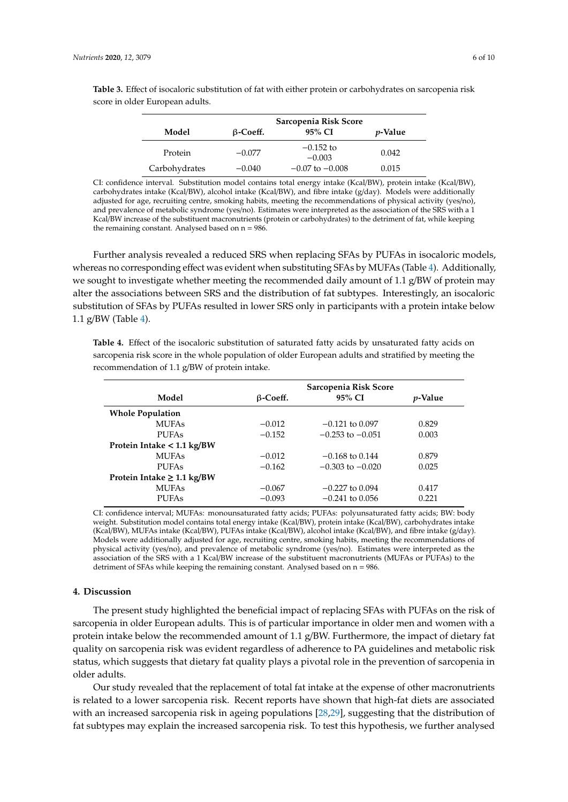|               | Sarcopenia Risk Score |                         |                 |
|---------------|-----------------------|-------------------------|-----------------|
| Model         | $\beta$ -Coeff.       | 95% CI                  | <i>p</i> -Value |
| Protein       | $-0.077$              | $-0.152$ to<br>$-0.003$ | 0.042           |
| Carbohydrates | $-0.040$              | $-0.07$ to $-0.008$     | 0.015           |

<span id="page-5-0"></span>**Table 3.** Effect of isocaloric substitution of fat with either protein or carbohydrates on sarcopenia risk score in older European adults.

CI: confidence interval. Substitution model contains total energy intake (Kcal/BW), protein intake (Kcal/BW), carbohydrates intake (Kcal/BW), alcohol intake (Kcal/BW), and fibre intake (g/day). Models were additionally adjusted for age, recruiting centre, smoking habits, meeting the recommendations of physical activity (yes/no), and prevalence of metabolic syndrome (yes/no). Estimates were interpreted as the association of the SRS with a 1 Kcal/BW increase of the substituent macronutrients (protein or carbohydrates) to the detriment of fat, while keeping the remaining constant. Analysed based on  $n = 986$ .

Further analysis revealed a reduced SRS when replacing SFAs by PUFAs in isocaloric models, whereas no corresponding effect was evident when substituting SFAs by MUFAs (Table [4\)](#page-5-1). Additionally, we sought to investigate whether meeting the recommended daily amount of 1.1  $g/BW$  of protein may alter the associations between SRS and the distribution of fat subtypes. Interestingly, an isocaloric substitution of SFAs by PUFAs resulted in lower SRS only in participants with a protein intake below 1.1 g/BW (Table [4\)](#page-5-1).

<span id="page-5-1"></span>**Table 4.** Effect of the isocaloric substitution of saturated fatty acids by unsaturated fatty acids on sarcopenia risk score in the whole population of older European adults and stratified by meeting the recommendation of 1.1 g/BW of protein intake.

|                                 | Sarcopenia Risk Score |                      |                 |
|---------------------------------|-----------------------|----------------------|-----------------|
| Model                           | $\beta$ -Coeff.       | 95% CI               | <i>v</i> -Value |
| <b>Whole Population</b>         |                       |                      |                 |
| <b>MUFAs</b>                    | $-0.012$              | $-0.121$ to $0.097$  | 0.829           |
| <b>PUFAs</b>                    | $-0.152$              | $-0.253$ to $-0.051$ | 0.003           |
| Protein Intake < 1.1 kg/BW      |                       |                      |                 |
| <b>MUFAs</b>                    | $-0.012$              | $-0.168$ to 0.144    | 0.879           |
| <b>PUFAs</b>                    | $-0.162$              | $-0.303$ to $-0.020$ | 0.025           |
| Protein Intake $\geq 1.1$ kg/BW |                       |                      |                 |
| <b>MUFAs</b>                    | $-0.067$              | $-0.227$ to $0.094$  | 0.417           |
| <b>PUFAs</b>                    | $-0.093$              | $-0.241$ to 0.056    | 0.221           |

CI: confidence interval; MUFAs: monounsaturated fatty acids; PUFAs: polyunsaturated fatty acids; BW: body weight. Substitution model contains total energy intake (Kcal/BW), protein intake (Kcal/BW), carbohydrates intake (Kcal/BW), MUFAs intake (Kcal/BW), PUFAs intake (Kcal/BW), alcohol intake (Kcal/BW), and fibre intake (g/day). Models were additionally adjusted for age, recruiting centre, smoking habits, meeting the recommendations of physical activity (yes/no), and prevalence of metabolic syndrome (yes/no). Estimates were interpreted as the association of the SRS with a 1 Kcal/BW increase of the substituent macronutrients (MUFAs or PUFAs) to the detriment of SFAs while keeping the remaining constant. Analysed based on n = 986.

# **4. Discussion**

The present study highlighted the beneficial impact of replacing SFAs with PUFAs on the risk of sarcopenia in older European adults. This is of particular importance in older men and women with a protein intake below the recommended amount of 1.1 g/BW. Furthermore, the impact of dietary fat quality on sarcopenia risk was evident regardless of adherence to PA guidelines and metabolic risk status, which suggests that dietary fat quality plays a pivotal role in the prevention of sarcopenia in older adults.

Our study revealed that the replacement of total fat intake at the expense of other macronutrients is related to a lower sarcopenia risk. Recent reports have shown that high-fat diets are associated with an increased sarcopenia risk in ageing populations [\[28](#page-9-1)[,29\]](#page-9-2), suggesting that the distribution of fat subtypes may explain the increased sarcopenia risk. To test this hypothesis, we further analysed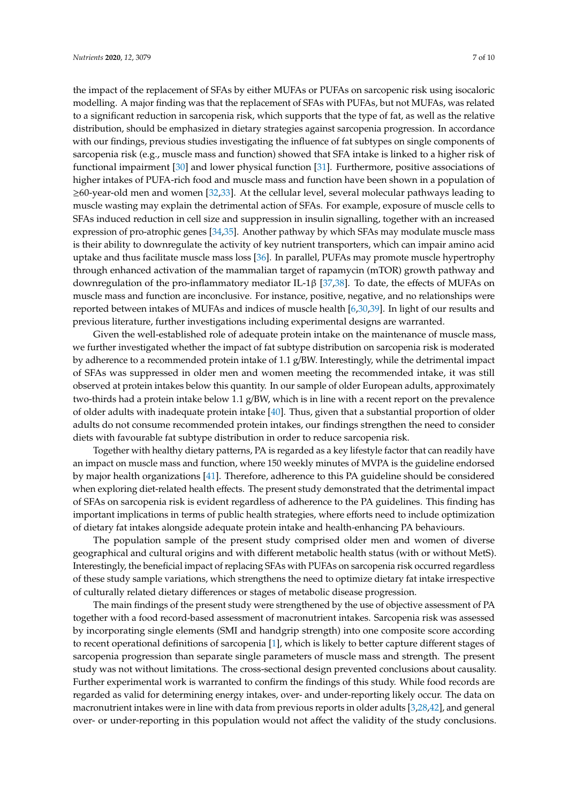the impact of the replacement of SFAs by either MUFAs or PUFAs on sarcopenic risk using isocaloric modelling. A major finding was that the replacement of SFAs with PUFAs, but not MUFAs, was related to a significant reduction in sarcopenia risk, which supports that the type of fat, as well as the relative distribution, should be emphasized in dietary strategies against sarcopenia progression. In accordance with our findings, previous studies investigating the influence of fat subtypes on single components of sarcopenia risk (e.g., muscle mass and function) showed that SFA intake is linked to a higher risk of functional impairment [\[30\]](#page-9-3) and lower physical function [\[31\]](#page-9-4). Furthermore, positive associations of higher intakes of PUFA-rich food and muscle mass and function have been shown in a population of ≥60-year-old men and women [\[32,](#page-9-5)[33\]](#page-9-6). At the cellular level, several molecular pathways leading to muscle wasting may explain the detrimental action of SFAs. For example, exposure of muscle cells to SFAs induced reduction in cell size and suppression in insulin signalling, together with an increased expression of pro-atrophic genes [\[34](#page-9-7)[,35\]](#page-9-8). Another pathway by which SFAs may modulate muscle mass is their ability to downregulate the activity of key nutrient transporters, which can impair amino acid uptake and thus facilitate muscle mass loss [\[36\]](#page-9-9). In parallel, PUFAs may promote muscle hypertrophy through enhanced activation of the mammalian target of rapamycin (mTOR) growth pathway and downregulation of the pro-inflammatory mediator IL-1β [\[37,](#page-9-10)[38\]](#page-9-11). To date, the effects of MUFAs on muscle mass and function are inconclusive. For instance, positive, negative, and no relationships were reported between intakes of MUFAs and indices of muscle health [\[6](#page-7-5)[,30](#page-9-3)[,39\]](#page-9-12). In light of our results and previous literature, further investigations including experimental designs are warranted.

Given the well-established role of adequate protein intake on the maintenance of muscle mass, we further investigated whether the impact of fat subtype distribution on sarcopenia risk is moderated by adherence to a recommended protein intake of 1.1 g/BW. Interestingly, while the detrimental impact of SFAs was suppressed in older men and women meeting the recommended intake, it was still observed at protein intakes below this quantity. In our sample of older European adults, approximately two-thirds had a protein intake below 1.1 g/BW, which is in line with a recent report on the prevalence of older adults with inadequate protein intake [\[40\]](#page-9-13). Thus, given that a substantial proportion of older adults do not consume recommended protein intakes, our findings strengthen the need to consider diets with favourable fat subtype distribution in order to reduce sarcopenia risk.

Together with healthy dietary patterns, PA is regarded as a key lifestyle factor that can readily have an impact on muscle mass and function, where 150 weekly minutes of MVPA is the guideline endorsed by major health organizations [\[41\]](#page-9-14). Therefore, adherence to this PA guideline should be considered when exploring diet-related health effects. The present study demonstrated that the detrimental impact of SFAs on sarcopenia risk is evident regardless of adherence to the PA guidelines. This finding has important implications in terms of public health strategies, where efforts need to include optimization of dietary fat intakes alongside adequate protein intake and health-enhancing PA behaviours.

The population sample of the present study comprised older men and women of diverse geographical and cultural origins and with different metabolic health status (with or without MetS). Interestingly, the beneficial impact of replacing SFAs with PUFAs on sarcopenia risk occurred regardless of these study sample variations, which strengthens the need to optimize dietary fat intake irrespective of culturally related dietary differences or stages of metabolic disease progression.

The main findings of the present study were strengthened by the use of objective assessment of PA together with a food record-based assessment of macronutrient intakes. Sarcopenia risk was assessed by incorporating single elements (SMI and handgrip strength) into one composite score according to recent operational definitions of sarcopenia [\[1\]](#page-7-0), which is likely to better capture different stages of sarcopenia progression than separate single parameters of muscle mass and strength. The present study was not without limitations. The cross-sectional design prevented conclusions about causality. Further experimental work is warranted to confirm the findings of this study. While food records are regarded as valid for determining energy intakes, over- and under-reporting likely occur. The data on macronutrient intakes were in line with data from previous reports in older adults [\[3,](#page-7-2)[28](#page-9-1)[,42\]](#page-9-15), and general over- or under-reporting in this population would not affect the validity of the study conclusions.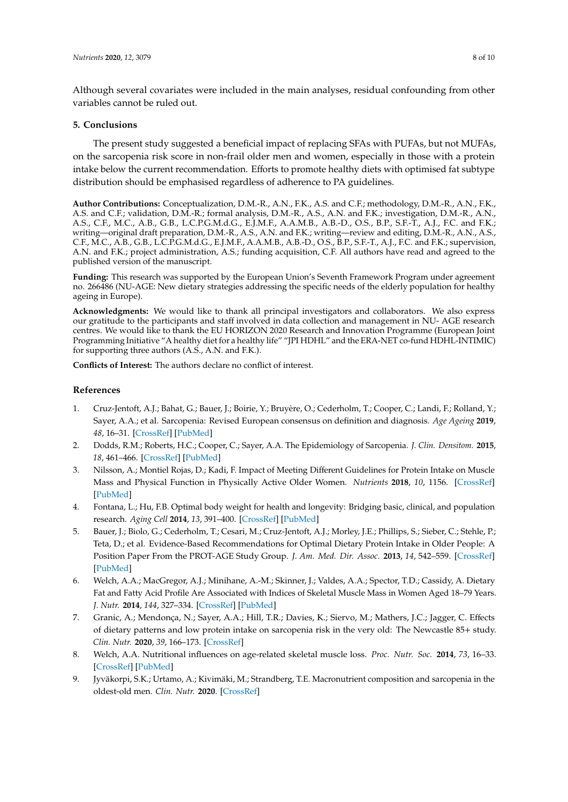Although several covariates were included in the main analyses, residual confounding from other variables cannot be ruled out.

# **5. Conclusions**

The present study suggested a beneficial impact of replacing SFAs with PUFAs, but not MUFAs, on the sarcopenia risk score in non-frail older men and women, especially in those with a protein intake below the current recommendation. Efforts to promote healthy diets with optimised fat subtype distribution should be emphasised regardless of adherence to PA guidelines.

**Author Contributions:** Conceptualization, D.M.-R., A.N., F.K., A.S. and C.F.; methodology, D.M.-R., A.N., F.K., A.S. and C.F.; validation, D.M.-R.; formal analysis, D.M.-R., A.S., A.N. and F.K.; investigation, D.M.-R., A.N., A.S., C.F., M.C., A.B., G.B., L.C.P.G.M.d.G., E.J.M.F., A.A.M.B., A.B.-D., O.S., B.P., S.F.-T., A.J., F.C. and F.K.; writing—original draft preparation, D.M.-R., A.S., A.N. and F.K.; writing—review and editing, D.M.-R., A.N., A.S., C.F., M.C., A.B., G.B., L.C.P.G.M.d.G., E.J.M.F., A.A.M.B., A.B.-D., O.S., B.P., S.F.-T., A.J., F.C. and F.K.; supervision, A.N. and F.K.; project administration, A.S.; funding acquisition, C.F. All authors have read and agreed to the published version of the manuscript.

**Funding:** This research was supported by the European Union's Seventh Framework Program under agreement no. 266486 (NU-AGE: New dietary strategies addressing the specific needs of the elderly population for healthy ageing in Europe).

**Acknowledgments:** We would like to thank all principal investigators and collaborators. We also express our gratitude to the participants and staff involved in data collection and management in NU- AGE research centres. We would like to thank the EU HORIZON 2020 Research and Innovation Programme (European Joint Programming Initiative "A healthy diet for a healthy life" "JPI HDHL" and the ERA-NET co-fund HDHL-INTIMIC) for supporting three authors (A.S., A.N. and F.K.).

**Conflicts of Interest:** The authors declare no conflict of interest.

# **References**

- <span id="page-7-0"></span>1. Cruz-Jentoft, A.J.; Bahat, G.; Bauer, J.; Boirie, Y.; Bruyère, O.; Cederholm, T.; Cooper, C.; Landi, F.; Rolland, Y.; Sayer, A.A.; et al. Sarcopenia: Revised European consensus on definition and diagnosis. *Age Ageing* **2019**, *48*, 16–31. [\[CrossRef\]](http://dx.doi.org/10.1093/ageing/afy169) [\[PubMed\]](http://www.ncbi.nlm.nih.gov/pubmed/30312372)
- <span id="page-7-1"></span>2. Dodds, R.M.; Roberts, H.C.; Cooper, C.; Sayer, A.A. The Epidemiology of Sarcopenia. *J. Clin. Densitom.* **2015**, *18*, 461–466. [\[CrossRef\]](http://dx.doi.org/10.1016/j.jocd.2015.04.012) [\[PubMed\]](http://www.ncbi.nlm.nih.gov/pubmed/26073423)
- <span id="page-7-2"></span>3. Nilsson, A.; Montiel Rojas, D.; Kadi, F. Impact of Meeting Different Guidelines for Protein Intake on Muscle Mass and Physical Function in Physically Active Older Women. *Nutrients* **2018**, *10*, 1156. [\[CrossRef\]](http://dx.doi.org/10.3390/nu10091156) [\[PubMed\]](http://www.ncbi.nlm.nih.gov/pubmed/30149519)
- <span id="page-7-3"></span>4. Fontana, L.; Hu, F.B. Optimal body weight for health and longevity: Bridging basic, clinical, and population research. *Aging Cell* **2014**, *13*, 391–400. [\[CrossRef\]](http://dx.doi.org/10.1111/acel.12207) [\[PubMed\]](http://www.ncbi.nlm.nih.gov/pubmed/24628815)
- <span id="page-7-4"></span>5. Bauer, J.; Biolo, G.; Cederholm, T.; Cesari, M.; Cruz-Jentoft, A.J.; Morley, J.E.; Phillips, S.; Sieber, C.; Stehle, P.; Teta, D.; et al. Evidence-Based Recommendations for Optimal Dietary Protein Intake in Older People: A Position Paper From the PROT-AGE Study Group. *J. Am. Med. Dir. Assoc.* **2013**, *14*, 542–559. [\[CrossRef\]](http://dx.doi.org/10.1016/j.jamda.2013.05.021) [\[PubMed\]](http://www.ncbi.nlm.nih.gov/pubmed/23867520)
- <span id="page-7-5"></span>6. Welch, A.A.; MacGregor, A.J.; Minihane, A.-M.; Skinner, J.; Valdes, A.A.; Spector, T.D.; Cassidy, A. Dietary Fat and Fatty Acid Profile Are Associated with Indices of Skeletal Muscle Mass in Women Aged 18–79 Years. *J. Nutr.* **2014**, *144*, 327–334. [\[CrossRef\]](http://dx.doi.org/10.3945/jn.113.185256) [\[PubMed\]](http://www.ncbi.nlm.nih.gov/pubmed/24401817)
- <span id="page-7-6"></span>7. Granic, A.; Mendonça, N.; Sayer, A.A.; Hill, T.R.; Davies, K.; Siervo, M.; Mathers, J.C.; Jagger, C. Effects of dietary patterns and low protein intake on sarcopenia risk in the very old: The Newcastle 85+ study. *Clin. Nutr.* **2020**, *39*, 166–173. [\[CrossRef\]](http://dx.doi.org/10.1016/j.clnu.2019.01.009)
- <span id="page-7-7"></span>8. Welch, A.A. Nutritional influences on age-related skeletal muscle loss. *Proc. Nutr. Soc.* **2014**, *73*, 16–33. [\[CrossRef\]](http://dx.doi.org/10.1017/S0029665113003698) [\[PubMed\]](http://www.ncbi.nlm.nih.gov/pubmed/24229650)
- <span id="page-7-8"></span>9. Jyväkorpi, S.K.; Urtamo, A.; Kivimäki, M.; Strandberg, T.E. Macronutrient composition and sarcopenia in the oldest-old men. *Clin. Nutr.* **2020**. [\[CrossRef\]](http://dx.doi.org/10.1016/j.clnu.2020.04.024)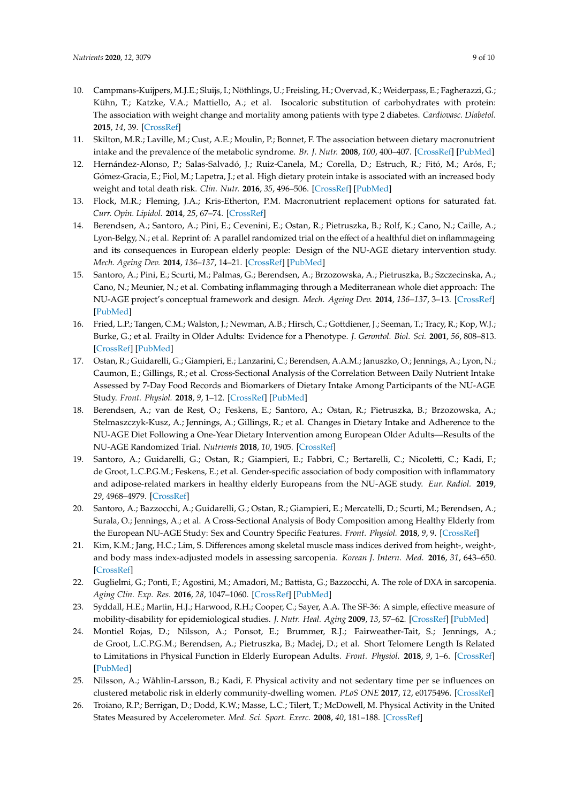- <span id="page-8-0"></span>10. Campmans-Kuijpers, M.J.E.; Sluijs, I.; Nöthlings, U.; Freisling, H.; Overvad, K.; Weiderpass, E.; Fagherazzi, G.; Kühn, T.; Katzke, V.A.; Mattiello, A.; et al. Isocaloric substitution of carbohydrates with protein: The association with weight change and mortality among patients with type 2 diabetes. *Cardiovasc. Diabetol.* **2015**, *14*, 39. [\[CrossRef\]](http://dx.doi.org/10.1186/s12933-015-0202-7)
- 11. Skilton, M.R.; Laville, M.; Cust, A.E.; Moulin, P.; Bonnet, F. The association between dietary macronutrient intake and the prevalence of the metabolic syndrome. *Br. J. Nutr.* **2008**, *100*, 400–407. [\[CrossRef\]](http://dx.doi.org/10.1017/S0007114507898655) [\[PubMed\]](http://www.ncbi.nlm.nih.gov/pubmed/18197990)
- <span id="page-8-1"></span>12. Hernández-Alonso, P.; Salas-Salvadó, J.; Ruiz-Canela, M.; Corella, D.; Estruch, R.; Fitó, M.; Arós, F.; Gómez-Gracia, E.; Fiol, M.; Lapetra, J.; et al. High dietary protein intake is associated with an increased body weight and total death risk. *Clin. Nutr.* **2016**, *35*, 496–506. [\[CrossRef\]](http://dx.doi.org/10.1016/j.clnu.2015.03.016) [\[PubMed\]](http://www.ncbi.nlm.nih.gov/pubmed/25886710)
- <span id="page-8-2"></span>13. Flock, M.R.; Fleming, J.A.; Kris-Etherton, P.M. Macronutrient replacement options for saturated fat. *Curr. Opin. Lipidol.* **2014**, *25*, 67–74. [\[CrossRef\]](http://dx.doi.org/10.1097/MOL.0000000000000039)
- <span id="page-8-3"></span>14. Berendsen, A.; Santoro, A.; Pini, E.; Cevenini, E.; Ostan, R.; Pietruszka, B.; Rolf, K.; Cano, N.; Caille, A.; Lyon-Belgy, N.; et al. Reprint of: A parallel randomized trial on the effect of a healthful diet on inflammageing and its consequences in European elderly people: Design of the NU-AGE dietary intervention study. *Mech. Ageing Dev.* **2014**, *136–137*, 14–21. [\[CrossRef\]](http://dx.doi.org/10.1016/j.mad.2014.03.001) [\[PubMed\]](http://www.ncbi.nlm.nih.gov/pubmed/24657127)
- <span id="page-8-4"></span>15. Santoro, A.; Pini, E.; Scurti, M.; Palmas, G.; Berendsen, A.; Brzozowska, A.; Pietruszka, B.; Szczecinska, A.; Cano, N.; Meunier, N.; et al. Combating inflammaging through a Mediterranean whole diet approach: The NU-AGE project's conceptual framework and design. *Mech. Ageing Dev.* **2014**, *136–137*, 3–13. [\[CrossRef\]](http://dx.doi.org/10.1016/j.mad.2013.12.001) [\[PubMed\]](http://www.ncbi.nlm.nih.gov/pubmed/24342354)
- <span id="page-8-5"></span>16. Fried, L.P.; Tangen, C.M.; Walston, J.; Newman, A.B.; Hirsch, C.; Gottdiener, J.; Seeman, T.; Tracy, R.; Kop, W.J.; Burke, G.; et al. Frailty in Older Adults: Evidence for a Phenotype. *J. Gerontol. Biol. Sci.* **2001**, *56*, 808–813. [\[CrossRef\]](http://dx.doi.org/10.1093/gerona/56.3.M146) [\[PubMed\]](http://www.ncbi.nlm.nih.gov/pubmed/11253156)
- <span id="page-8-6"></span>17. Ostan, R.; Guidarelli, G.; Giampieri, E.; Lanzarini, C.; Berendsen, A.A.M.; Januszko, O.; Jennings, A.; Lyon, N.; Caumon, E.; Gillings, R.; et al. Cross-Sectional Analysis of the Correlation Between Daily Nutrient Intake Assessed by 7-Day Food Records and Biomarkers of Dietary Intake Among Participants of the NU-AGE Study. *Front. Physiol.* **2018**, *9*, 1–12. [\[CrossRef\]](http://dx.doi.org/10.3389/fphys.2018.01359) [\[PubMed\]](http://www.ncbi.nlm.nih.gov/pubmed/30327612)
- <span id="page-8-7"></span>18. Berendsen, A.; van de Rest, O.; Feskens, E.; Santoro, A.; Ostan, R.; Pietruszka, B.; Brzozowska, A.; Stelmaszczyk-Kusz, A.; Jennings, A.; Gillings, R.; et al. Changes in Dietary Intake and Adherence to the NU-AGE Diet Following a One-Year Dietary Intervention among European Older Adults—Results of the NU-AGE Randomized Trial. *Nutrients* **2018**, *10*, 1905. [\[CrossRef\]](http://dx.doi.org/10.3390/nu10121905)
- <span id="page-8-8"></span>19. Santoro, A.; Guidarelli, G.; Ostan, R.; Giampieri, E.; Fabbri, C.; Bertarelli, C.; Nicoletti, C.; Kadi, F.; de Groot, L.C.P.G.M.; Feskens, E.; et al. Gender-specific association of body composition with inflammatory and adipose-related markers in healthy elderly Europeans from the NU-AGE study. *Eur. Radiol.* **2019**, *29*, 4968–4979. [\[CrossRef\]](http://dx.doi.org/10.1007/s00330-018-5973-2)
- <span id="page-8-9"></span>20. Santoro, A.; Bazzocchi, A.; Guidarelli, G.; Ostan, R.; Giampieri, E.; Mercatelli, D.; Scurti, M.; Berendsen, A.; Surala, O.; Jennings, A.; et al. A Cross-Sectional Analysis of Body Composition among Healthy Elderly from the European NU-AGE Study: Sex and Country Specific Features. *Front. Physiol.* **2018**, *9*, 9. [\[CrossRef\]](http://dx.doi.org/10.3389/fphys.2018.01693)
- 21. Kim, K.M.; Jang, H.C.; Lim, S. Differences among skeletal muscle mass indices derived from height-, weight-, and body mass index-adjusted models in assessing sarcopenia. *Korean J. Intern. Med.* **2016**, *31*, 643–650. [\[CrossRef\]](http://dx.doi.org/10.3904/kjim.2016.015)
- <span id="page-8-10"></span>22. Guglielmi, G.; Ponti, F.; Agostini, M.; Amadori, M.; Battista, G.; Bazzocchi, A. The role of DXA in sarcopenia. *Aging Clin. Exp. Res.* **2016**, *28*, 1047–1060. [\[CrossRef\]](http://dx.doi.org/10.1007/s40520-016-0589-3) [\[PubMed\]](http://www.ncbi.nlm.nih.gov/pubmed/27256078)
- <span id="page-8-11"></span>23. Syddall, H.E.; Martin, H.J.; Harwood, R.H.; Cooper, C.; Sayer, A.A. The SF-36: A simple, effective measure of mobility-disability for epidemiological studies. *J. Nutr. Heal. Aging* **2009**, *13*, 57–62. [\[CrossRef\]](http://dx.doi.org/10.1007/s12603-009-0010-4) [\[PubMed\]](http://www.ncbi.nlm.nih.gov/pubmed/19151909)
- <span id="page-8-12"></span>24. Montiel Rojas, D.; Nilsson, A.; Ponsot, E.; Brummer, R.J.; Fairweather-Tait, S.; Jennings, A.; de Groot, L.C.P.G.M.; Berendsen, A.; Pietruszka, B.; Madej, D.; et al. Short Telomere Length Is Related to Limitations in Physical Function in Elderly European Adults. *Front. Physiol.* **2018**, *9*, 1–6. [\[CrossRef\]](http://dx.doi.org/10.3389/fphys.2018.01110) [\[PubMed\]](http://www.ncbi.nlm.nih.gov/pubmed/30147659)
- <span id="page-8-13"></span>25. Nilsson, A.; Wåhlin-Larsson, B.; Kadi, F. Physical activity and not sedentary time per se influences on clustered metabolic risk in elderly community-dwelling women. *PLoS ONE* **2017**, *12*, e0175496. [\[CrossRef\]](http://dx.doi.org/10.1371/journal.pone.0175496)
- <span id="page-8-14"></span>26. Troiano, R.P.; Berrigan, D.; Dodd, K.W.; Masse, L.C.; Tilert, T.; McDowell, M. Physical Activity in the United States Measured by Accelerometer. *Med. Sci. Sport. Exerc.* **2008**, *40*, 181–188. [\[CrossRef\]](http://dx.doi.org/10.1249/mss.0b013e31815a51b3)